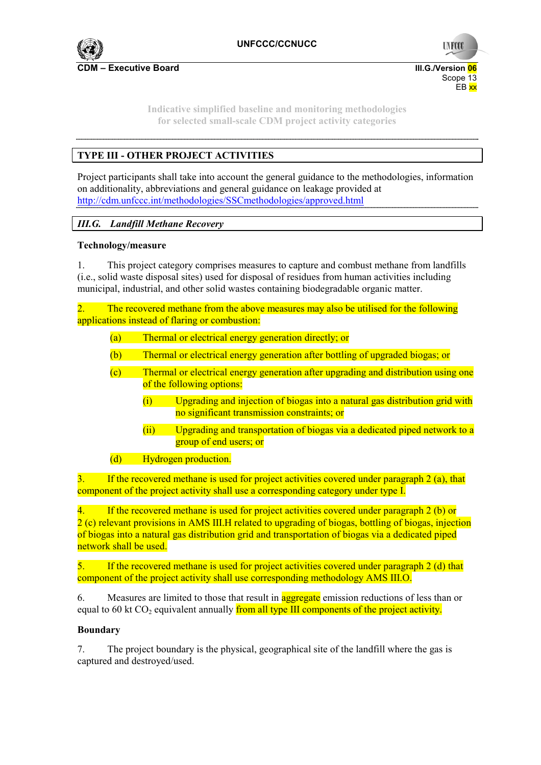

**UNFCC** 

Scope 13 and the state of the state of the state of the state of the Scope 13 and the Scope 13 en de la provincia de la provincia de la provincia de la provincia de la provincia de la provincia de la provi

**Indicative simplified baseline and monitoring methodologies for selected small-scale CDM project activity categories** 

# **TYPE III - OTHER PROJECT ACTIVITIES**

Project participants shall take into account the general guidance to the methodologies, information on additionality, abbreviations and general guidance on leakage provided at http://cdm.unfccc.int/methodologies/SSCmethodologies/approved.html

## *III.G. Landfill Methane Recovery*

### **Technology/measure**

1. This project category comprises measures to capture and combust methane from landfills (i.e., solid waste disposal sites) used for disposal of residues from human activities including municipal, industrial, and other solid wastes containing biodegradable organic matter.

2. The recovered methane from the above measures may also be utilised for the following applications instead of flaring or combustion:

- (a) Thermal or electrical energy generation directly; or
- (b) Thermal or electrical energy generation after bottling of upgraded biogas; or
- (c) Thermal or electrical energy generation after upgrading and distribution using one of the following options:
	- (i) Upgrading and injection of biogas into a natural gas distribution grid with no significant transmission constraints; or
	- (ii) Upgrading and transportation of biogas via a dedicated piped network to a group of end users; or
- (d) Hydrogen production.

3. If the recovered methane is used for project activities covered under paragraph 2 (a), that component of the project activity shall use a corresponding category under type I.

4. If the recovered methane is used for project activities covered under paragraph 2 (b) or 2 (c) relevant provisions in AMS III.H related to upgrading of biogas, bottling of biogas, injection of biogas into a natural gas distribution grid and transportation of biogas via a dedicated piped network shall be used.

5. If the recovered methane is used for project activities covered under paragraph 2 (d) that component of the project activity shall use corresponding methodology AMS III.O.

6. Measures are limited to those that result in **aggregate** emission reductions of less than or equal to 60 kt CO<sub>2</sub> equivalent annually from all type III components of the project activity.

### **Boundary**

7. The project boundary is the physical, geographical site of the landfill where the gas is captured and destroyed/used.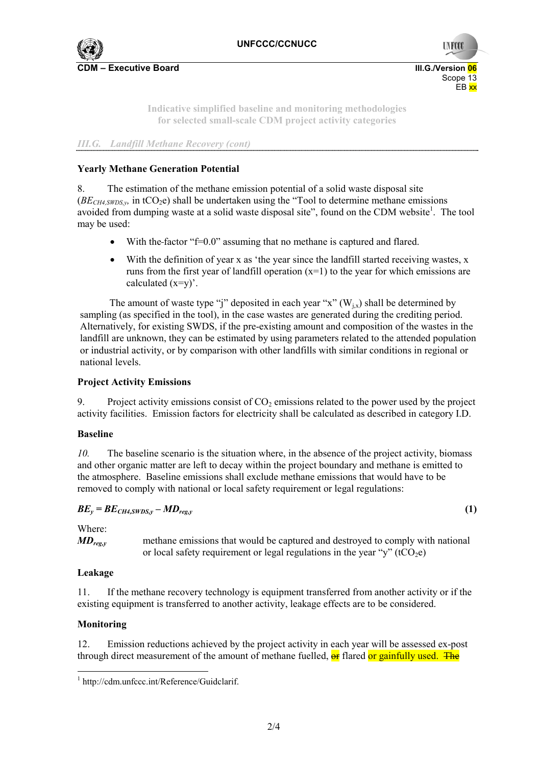

Scope 13 and the state of the state of the state of the state of the Scope 13 and the Scope 13 en de la provincia de la provincia de la provincia de la provincia de la provincia de la provincia de la provi

**UNFCC** 

**Indicative simplified baseline and monitoring methodologies for selected small-scale CDM project activity categories** 

*III.G. Landfill Methane Recovery (cont)* 

### **Yearly Methane Generation Potential**

8. The estimation of the methane emission potential of a solid waste disposal site  $(BE<sub>CH4,SWDSv</sub>$ , in tCO<sub>2</sub>e) shall be undertaken using the "Tool to determine methane emissions avoided from dumping waste at a solid waste disposal site", found on the CDM website<sup>1</sup>. The tool may be used:

- With the factor "f=0.0" assuming that no methane is captured and flared.
- With the definition of year x as 'the year since the landfill started receiving wastes, x runs from the first year of landfill operation  $(x=1)$  to the year for which emissions are calculated  $(x=y)$ .

The amount of waste type "j" deposited in each year "x"  $(W_{i,x})$  shall be determined by sampling (as specified in the tool), in the case wastes are generated during the crediting period. Alternatively, for existing SWDS, if the pre-existing amount and composition of the wastes in the landfill are unknown, they can be estimated by using parameters related to the attended population or industrial activity, or by comparison with other landfills with similar conditions in regional or national levels.

#### **Project Activity Emissions**

9. Project activity emissions consist of  $CO<sub>2</sub>$  emissions related to the power used by the project activity facilities. Emission factors for electricity shall be calculated as described in category I.D.

#### **Baseline**

*10.* The baseline scenario is the situation where, in the absence of the project activity, biomass and other organic matter are left to decay within the project boundary and methane is emitted to the atmosphere. Baseline emissions shall exclude methane emissions that would have to be removed to comply with national or local safety requirement or legal regulations:

$$
BE_{y} = BE_{CH4,SWDS,y} - MD_{reg,y}
$$
 (1)

Where:

*MD<sub>reg,y</sub>* methane emissions that would be captured and destroyed to comply with national or local safety requirement or legal regulations in the year "y" ( $tCO<sub>2</sub>e$ )

#### **Leakage**

11. If the methane recovery technology is equipment transferred from another activity or if the existing equipment is transferred to another activity, leakage effects are to be considered.

### **Monitoring**

12. Emission reductions achieved by the project activity in each year will be assessed ex-post through direct measurement of the amount of methane fuelled,  $\Theta$  flared or gainfully used. The

<sup>1</sup> http://cdm.unfccc.int/Reference/Guidclarif.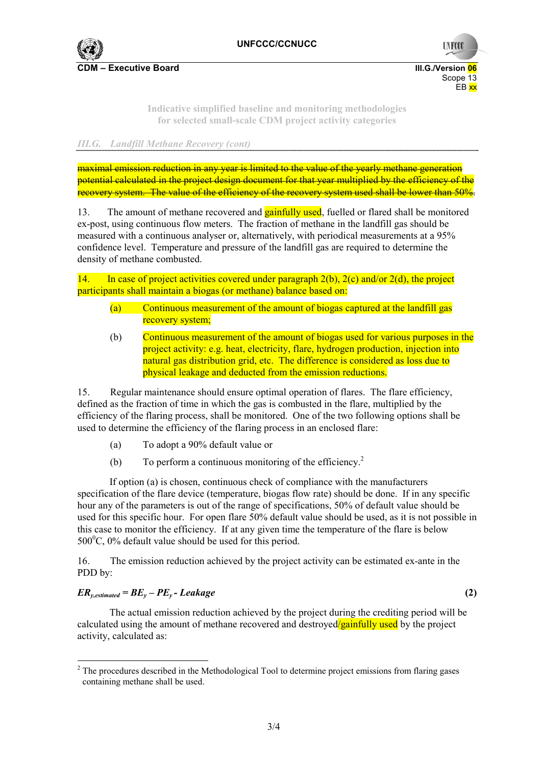

Scope 13 and the state of the state of the state of the state of the Scope 13 and the Scope 13

**UNFCO** 

**Indicative simplified baseline and monitoring methodologies for selected small-scale CDM project activity categories** 

en de la provincia de la provincia de la provincia de la provincia de la provincia de la provincia de la provi

### *III.G. Landfill Methane Recovery (cont)*

maximal emission reduction in any year is limited to the value of the yearly methane generation potential calculated in the project design document for that year multiplied by the efficiency of the recovery system. The value of the efficiency of the recovery system used shall be lower than 50%.

13. The amount of methane recovered and **gainfully used**, fuelled or flared shall be monitored ex-post, using continuous flow meters. The fraction of methane in the landfill gas should be measured with a continuous analyser or, alternatively, with periodical measurements at a 95% confidence level. Temperature and pressure of the landfill gas are required to determine the density of methane combusted.

14. In case of project activities covered under paragraph  $2(b)$ ,  $2(c)$  and/or  $2(d)$ , the project participants shall maintain a biogas (or methane) balance based on:

- (a) Continuous measurement of the amount of biogas captured at the landfill gas recovery system;
- (b) Continuous measurement of the amount of biogas used for various purposes in the project activity: e.g. heat, electricity, flare, hydrogen production, injection into natural gas distribution grid, etc. The difference is considered as loss due to physical leakage and deducted from the emission reductions.

15. Regular maintenance should ensure optimal operation of flares. The flare efficiency, defined as the fraction of time in which the gas is combusted in the flare, multiplied by the efficiency of the flaring process, shall be monitored. One of the two following options shall be used to determine the efficiency of the flaring process in an enclosed flare:

- (a) To adopt a 90% default value or
- (b) To perform a continuous monitoring of the efficiency.<sup>2</sup>

If option (a) is chosen, continuous check of compliance with the manufacturers specification of the flare device (temperature, biogas flow rate) should be done. If in any specific hour any of the parameters is out of the range of specifications, 50% of default value should be used for this specific hour. For open flare 50% default value should be used, as it is not possible in this case to monitor the efficiency. If at any given time the temperature of the flare is below  $500^{\circ}$ C, 0% default value should be used for this period.

16. The emission reduction achieved by the project activity can be estimated ex-ante in the PDD by:

### $ER_{v,estimated} = BE_v - PE_v - Leakage$  (2)

The actual emission reduction achieved by the project during the crediting period will be calculated using the amount of methane recovered and destroyed/gainfully used by the project activity, calculated as:

 $2$  The procedures described in the Methodological Tool to determine project emissions from flaring gases containing methane shall be used.